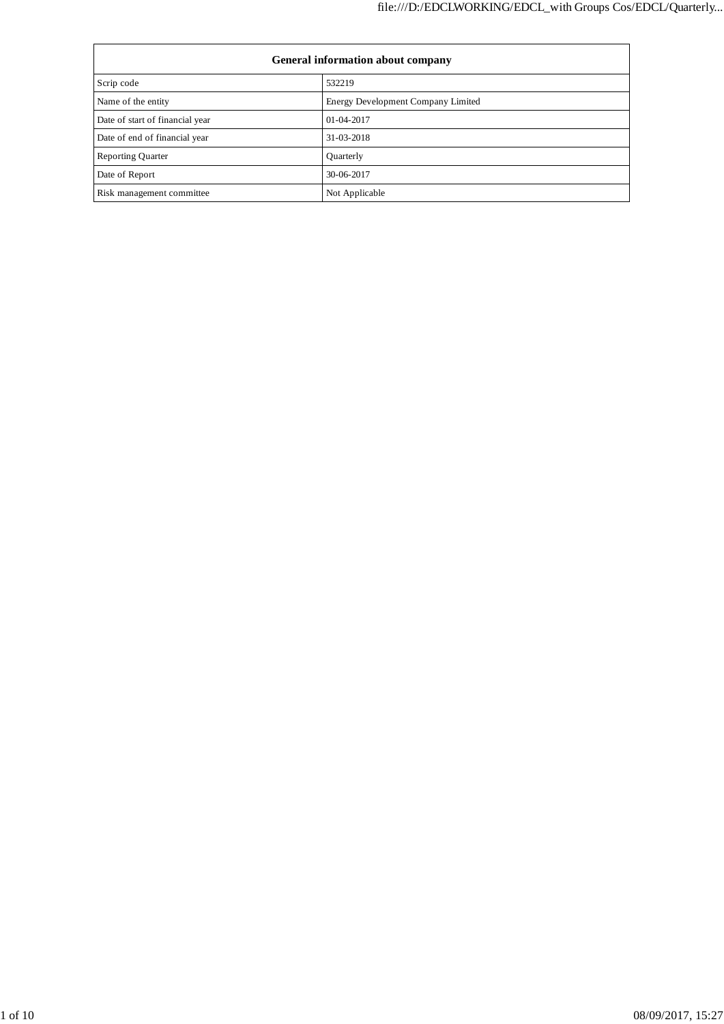| <b>General information about company</b> |                                    |  |  |  |
|------------------------------------------|------------------------------------|--|--|--|
| Scrip code                               | 532219                             |  |  |  |
| Name of the entity                       | Energy Development Company Limited |  |  |  |
| Date of start of financial year          | $01 - 04 - 2017$                   |  |  |  |
| Date of end of financial year            | 31-03-2018                         |  |  |  |
| <b>Reporting Quarter</b>                 | Quarterly                          |  |  |  |
| Date of Report                           | 30-06-2017                         |  |  |  |
| Risk management committee                | Not Applicable                     |  |  |  |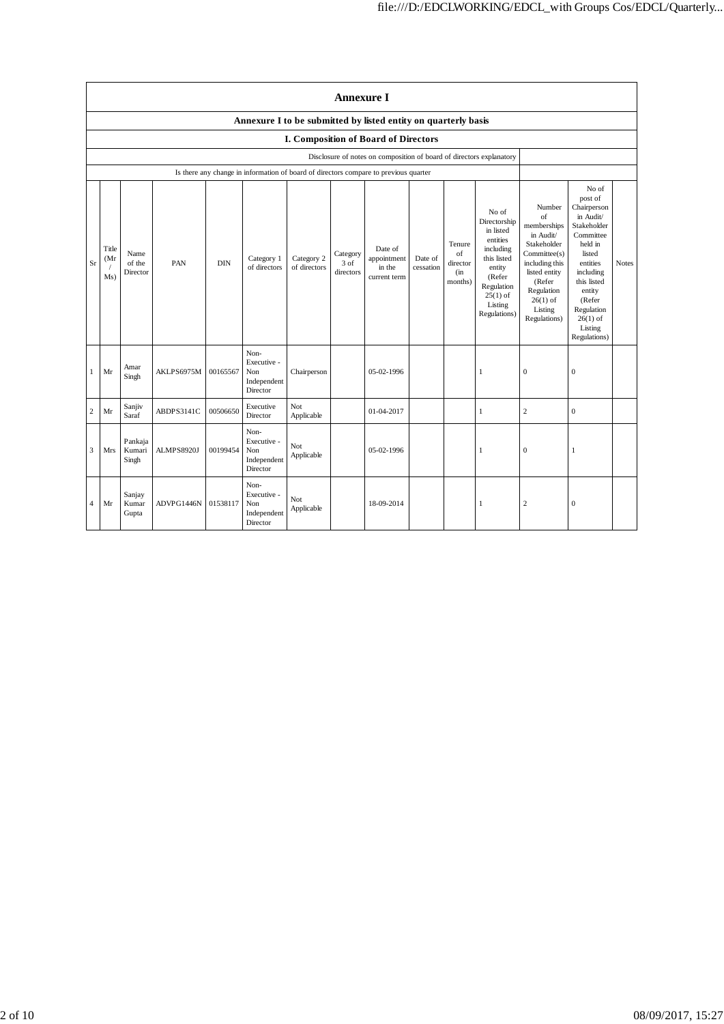|                | <b>Annexure I</b>                                                                                            |                            |            |            |                                                                                      |                            |                               |                                                  |                      |                                             |                                                                                                                                                       |                                                                                                                                                                             |                                                                                                                                                                                                                  |              |
|----------------|--------------------------------------------------------------------------------------------------------------|----------------------------|------------|------------|--------------------------------------------------------------------------------------|----------------------------|-------------------------------|--------------------------------------------------|----------------------|---------------------------------------------|-------------------------------------------------------------------------------------------------------------------------------------------------------|-----------------------------------------------------------------------------------------------------------------------------------------------------------------------------|------------------------------------------------------------------------------------------------------------------------------------------------------------------------------------------------------------------|--------------|
|                | Annexure I to be submitted by listed entity on quarterly basis                                               |                            |            |            |                                                                                      |                            |                               |                                                  |                      |                                             |                                                                                                                                                       |                                                                                                                                                                             |                                                                                                                                                                                                                  |              |
|                | I. Composition of Board of Directors<br>Disclosure of notes on composition of board of directors explanatory |                            |            |            |                                                                                      |                            |                               |                                                  |                      |                                             |                                                                                                                                                       |                                                                                                                                                                             |                                                                                                                                                                                                                  |              |
|                |                                                                                                              |                            |            |            | Is there any change in information of board of directors compare to previous quarter |                            |                               |                                                  |                      |                                             |                                                                                                                                                       |                                                                                                                                                                             |                                                                                                                                                                                                                  |              |
| Sr             | Title<br>(Mr)<br>Ms)                                                                                         | Name<br>of the<br>Director | PAN        | <b>DIN</b> | Category 1<br>of directors                                                           | Category 2<br>of directors | Category<br>3 of<br>directors | Date of<br>appointment<br>in the<br>current term | Date of<br>cessation | Tenure<br>of<br>director<br>(in)<br>months) | No of<br>Directorship<br>in listed<br>entities<br>including<br>this listed<br>entity<br>(Refer<br>Regulation<br>$25(1)$ of<br>Listing<br>Regulations) | Number<br>of<br>memberships<br>in Audit/<br>Stakeholder<br>Committee(s)<br>including this<br>listed entity<br>(Refer<br>Regulation<br>$26(1)$ of<br>Listing<br>Regulations) | No of<br>post of<br>Chairperson<br>in Audit/<br>Stakeholder<br>Committee<br>held in<br>listed<br>entities<br>including<br>this listed<br>entity<br>(Refer<br>Regulation<br>$26(1)$ of<br>Listing<br>Regulations) | <b>Notes</b> |
| 1              | Mr                                                                                                           | Amar<br>Singh              | AKLPS6975M | 00165567   | Non-<br>Executive -<br>Non<br>Independent<br>Director                                | Chairperson                |                               | 05-02-1996                                       |                      |                                             | 1                                                                                                                                                     | $\mathbf{0}$                                                                                                                                                                | $\mathbf{0}$                                                                                                                                                                                                     |              |
| $\overline{c}$ | Mr                                                                                                           | Sanjiv<br>Saraf            | ABDPS3141C | 00506650   | Executive<br>Director                                                                | Not<br>Applicable          |                               | 01-04-2017                                       |                      |                                             | $\mathbf{1}$                                                                                                                                          | $\sqrt{2}$                                                                                                                                                                  | $\boldsymbol{0}$                                                                                                                                                                                                 |              |
| 3              | Mrs                                                                                                          | Pankaja<br>Kumari<br>Singh | ALMPS8920J | 00199454   | Non-<br>Executive -<br>Non<br>Independent<br>Director                                | Not<br>Applicable          |                               | 05-02-1996                                       |                      |                                             | 1                                                                                                                                                     | $\mathbf{0}$                                                                                                                                                                | $\mathbf{1}$                                                                                                                                                                                                     |              |
| 4              | Mr                                                                                                           | Sanjay<br>Kumar<br>Gupta   | ADVPG1446N | 01538117   | Non-<br>Executive -<br>Non<br>Independent<br>Director                                | Not<br>Applicable          |                               | 18-09-2014                                       |                      |                                             | 1                                                                                                                                                     | $\overline{c}$                                                                                                                                                              | $\mathbf{0}$                                                                                                                                                                                                     |              |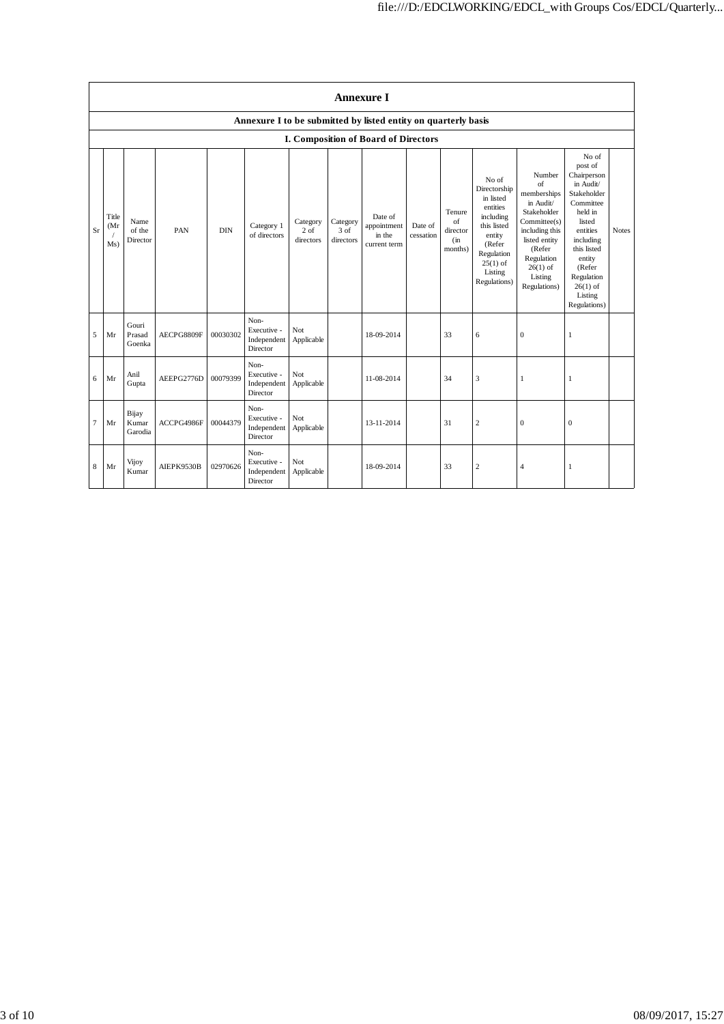|    | <b>Annexure I</b>                                              |                            |            |            |                                                |                                 |                               |                                                  |                      |                                               |                                                                                                                                                       |                                                                                                                                                                             |                                                                                                                                                                                                                  |              |
|----|----------------------------------------------------------------|----------------------------|------------|------------|------------------------------------------------|---------------------------------|-------------------------------|--------------------------------------------------|----------------------|-----------------------------------------------|-------------------------------------------------------------------------------------------------------------------------------------------------------|-----------------------------------------------------------------------------------------------------------------------------------------------------------------------------|------------------------------------------------------------------------------------------------------------------------------------------------------------------------------------------------------------------|--------------|
|    | Annexure I to be submitted by listed entity on quarterly basis |                            |            |            |                                                |                                 |                               |                                                  |                      |                                               |                                                                                                                                                       |                                                                                                                                                                             |                                                                                                                                                                                                                  |              |
|    | I. Composition of Board of Directors                           |                            |            |            |                                                |                                 |                               |                                                  |                      |                                               |                                                                                                                                                       |                                                                                                                                                                             |                                                                                                                                                                                                                  |              |
| Sr | Title<br>(Mr)<br>Ms)                                           | Name<br>of the<br>Director | PAN        | <b>DIN</b> | Category 1<br>of directors                     | Category<br>$2$ of<br>directors | Category<br>3 of<br>directors | Date of<br>appointment<br>in the<br>current term | Date of<br>cessation | Tenure<br>of<br>director<br>$\sin$<br>months) | No of<br>Directorship<br>in listed<br>entities<br>including<br>this listed<br>entity<br>(Refer<br>Regulation<br>$25(1)$ of<br>Listing<br>Regulations) | Number<br>of<br>memberships<br>in Audit/<br>Stakeholder<br>Committee(s)<br>including this<br>listed entity<br>(Refer<br>Regulation<br>$26(1)$ of<br>Listing<br>Regulations) | No of<br>post of<br>Chairperson<br>in Audit/<br>Stakeholder<br>Committee<br>held in<br>listed<br>entities<br>including<br>this listed<br>entity<br>(Refer<br>Regulation<br>$26(1)$ of<br>Listing<br>Regulations) | <b>Notes</b> |
| 5  | Mr                                                             | Gouri<br>Prasad<br>Goenka  | AECPG8809F | 00030302   | Non-<br>Executive -<br>Independent<br>Director | Not<br>Applicable               |                               | 18-09-2014                                       |                      | 33                                            | 6                                                                                                                                                     | $\mathbf{0}$                                                                                                                                                                | 1                                                                                                                                                                                                                |              |
| 6  | Mr                                                             | Anil<br>Gupta              | AEEPG2776D | 00079399   | Non-<br>Executive -<br>Independent<br>Director | Not<br>Applicable               |                               | 11-08-2014                                       |                      | 34                                            | 3                                                                                                                                                     | 1                                                                                                                                                                           | 1                                                                                                                                                                                                                |              |
| 7  | Mr                                                             | Bijay<br>Kumar<br>Garodia  | ACCPG4986F | 00044379   | Non-<br>Executive -<br>Independent<br>Director | Not<br>Applicable               |                               | 13-11-2014                                       |                      | 31                                            | $\sqrt{2}$                                                                                                                                            | $\mathbf{0}$                                                                                                                                                                | $\mathbf{0}$                                                                                                                                                                                                     |              |
| 8  | Mr                                                             | Vijoy<br>Kumar             | AIEPK9530B | 02970626   | Non-<br>Executive -<br>Independent<br>Director | Not<br>Applicable               |                               | 18-09-2014                                       |                      | 33                                            | $\overline{c}$                                                                                                                                        | $\overline{4}$                                                                                                                                                              | 1                                                                                                                                                                                                                |              |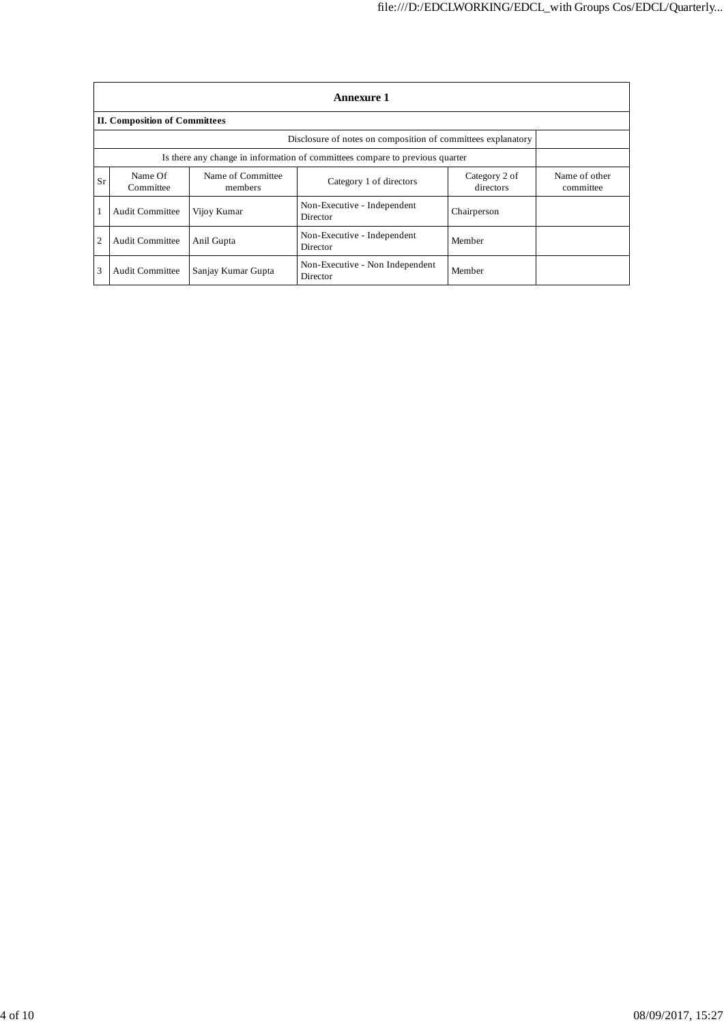|    | <b>Annexure 1</b>                                                            |                              |                                                              |                            |                            |  |  |  |  |  |
|----|------------------------------------------------------------------------------|------------------------------|--------------------------------------------------------------|----------------------------|----------------------------|--|--|--|--|--|
|    | <b>II. Composition of Committees</b>                                         |                              |                                                              |                            |                            |  |  |  |  |  |
|    |                                                                              |                              | Disclosure of notes on composition of committees explanatory |                            |                            |  |  |  |  |  |
|    | Is there any change in information of committees compare to previous quarter |                              |                                                              |                            |                            |  |  |  |  |  |
| Sr | Name Of<br>Committee                                                         | Name of Committee<br>members | Category 1 of directors                                      | Category 2 of<br>directors | Name of other<br>committee |  |  |  |  |  |
|    | Audit Committee                                                              | Vijov Kumar                  | Non-Executive - Independent<br>Director                      | Chairperson                |                            |  |  |  |  |  |
| 2  | <b>Audit Committee</b>                                                       | Anil Gupta                   | Non-Executive - Independent<br>Director                      | Member                     |                            |  |  |  |  |  |
| 3  | <b>Audit Committee</b>                                                       | Sanjay Kumar Gupta           | Non-Executive - Non Independent<br>Director                  | Member                     |                            |  |  |  |  |  |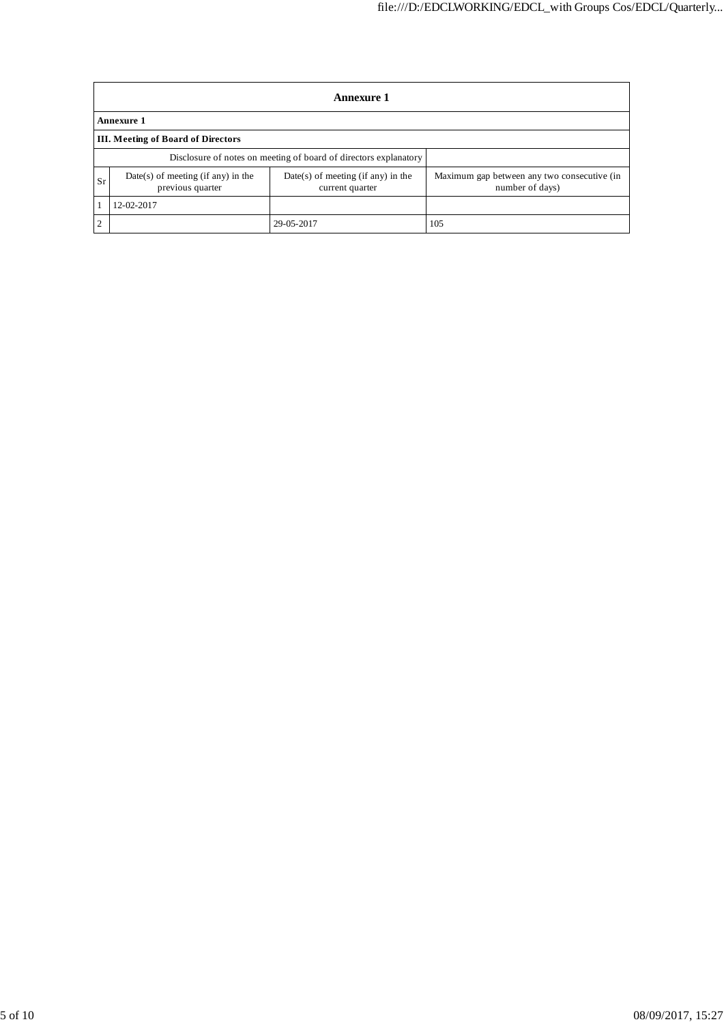| <b>Annexure 1</b>                         |                                                        |                                                                  |                                                                |  |  |  |  |
|-------------------------------------------|--------------------------------------------------------|------------------------------------------------------------------|----------------------------------------------------------------|--|--|--|--|
| <b>Annexure 1</b>                         |                                                        |                                                                  |                                                                |  |  |  |  |
| <b>III. Meeting of Board of Directors</b> |                                                        |                                                                  |                                                                |  |  |  |  |
|                                           |                                                        | Disclosure of notes on meeting of board of directors explanatory |                                                                |  |  |  |  |
| <b>Sr</b>                                 | Date(s) of meeting (if any) in the<br>previous quarter | $Date(s)$ of meeting (if any) in the<br>current quarter          | Maximum gap between any two consecutive (in<br>number of days) |  |  |  |  |
|                                           | 12-02-2017                                             |                                                                  |                                                                |  |  |  |  |
| 2                                         |                                                        | 29-05-2017                                                       | 105                                                            |  |  |  |  |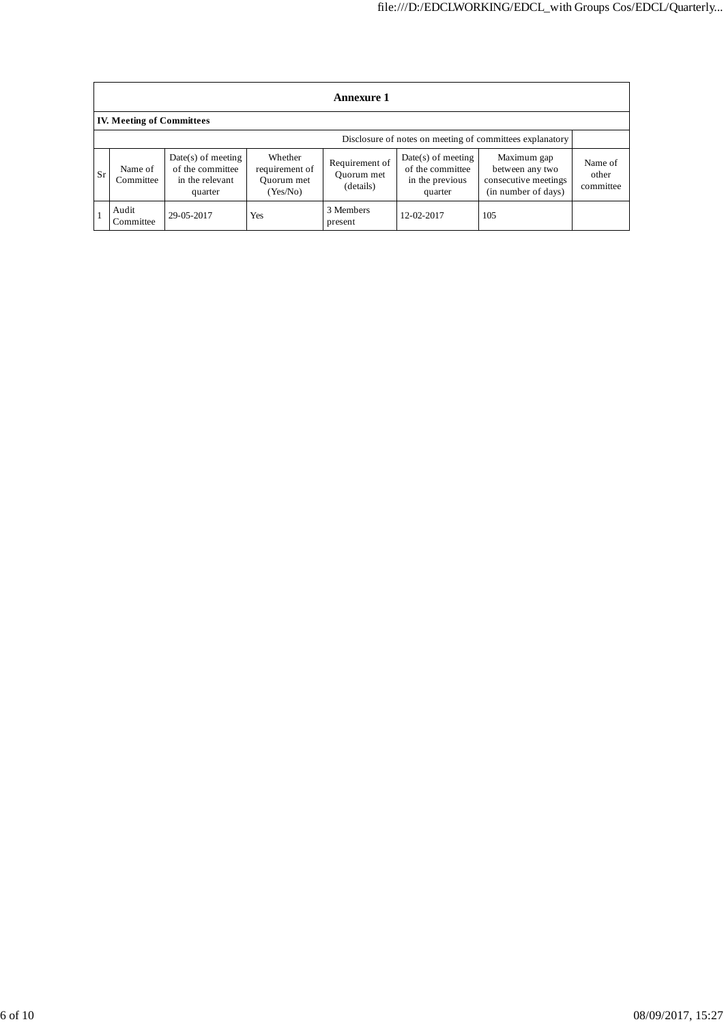|           | <b>Annexure 1</b>                                        |                                                                        |                                                     |                                           |                                                                        |                                                                               |                               |  |  |
|-----------|----------------------------------------------------------|------------------------------------------------------------------------|-----------------------------------------------------|-------------------------------------------|------------------------------------------------------------------------|-------------------------------------------------------------------------------|-------------------------------|--|--|
|           | <b>IV. Meeting of Committees</b>                         |                                                                        |                                                     |                                           |                                                                        |                                                                               |                               |  |  |
|           | Disclosure of notes on meeting of committees explanatory |                                                                        |                                                     |                                           |                                                                        |                                                                               |                               |  |  |
| <b>Sr</b> | Name of<br>Committee                                     | $Date(s)$ of meeting<br>of the committee<br>in the relevant<br>quarter | Whether<br>requirement of<br>Ouorum met<br>(Yes/No) | Requirement of<br>Quorum met<br>(details) | $Date(s)$ of meeting<br>of the committee<br>in the previous<br>quarter | Maximum gap<br>between any two<br>consecutive meetings<br>(in number of days) | Name of<br>other<br>committee |  |  |
|           | Audit<br>Committee                                       | 29-05-2017                                                             | Yes                                                 | 3 Members<br>present                      | 12-02-2017                                                             | 105                                                                           |                               |  |  |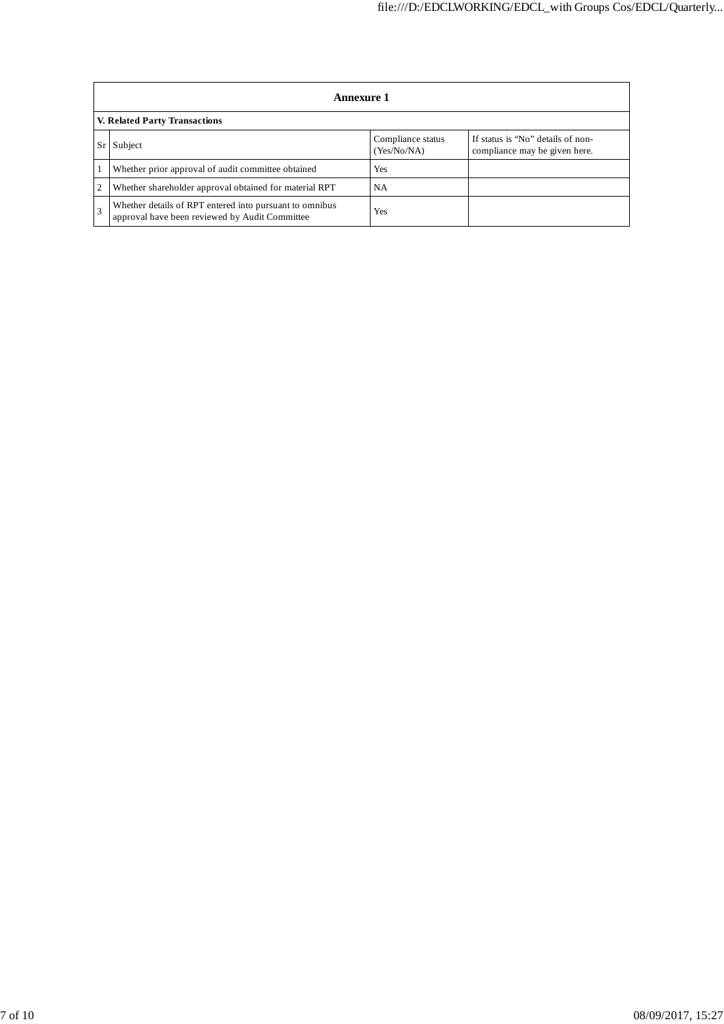|    | <b>Annexure 1</b>                                                                                         |                                  |                                                                    |  |  |  |  |  |  |
|----|-----------------------------------------------------------------------------------------------------------|----------------------------------|--------------------------------------------------------------------|--|--|--|--|--|--|
|    | V. Related Party Transactions                                                                             |                                  |                                                                    |  |  |  |  |  |  |
| Sr | Subject                                                                                                   | Compliance status<br>(Yes/No/NA) | If status is "No" details of non-<br>compliance may be given here. |  |  |  |  |  |  |
|    | Whether prior approval of audit committee obtained                                                        | Yes                              |                                                                    |  |  |  |  |  |  |
| 2  | Whether shareholder approval obtained for material RPT                                                    | NA.                              |                                                                    |  |  |  |  |  |  |
|    | Whether details of RPT entered into pursuant to omnibus<br>approval have been reviewed by Audit Committee | Yes                              |                                                                    |  |  |  |  |  |  |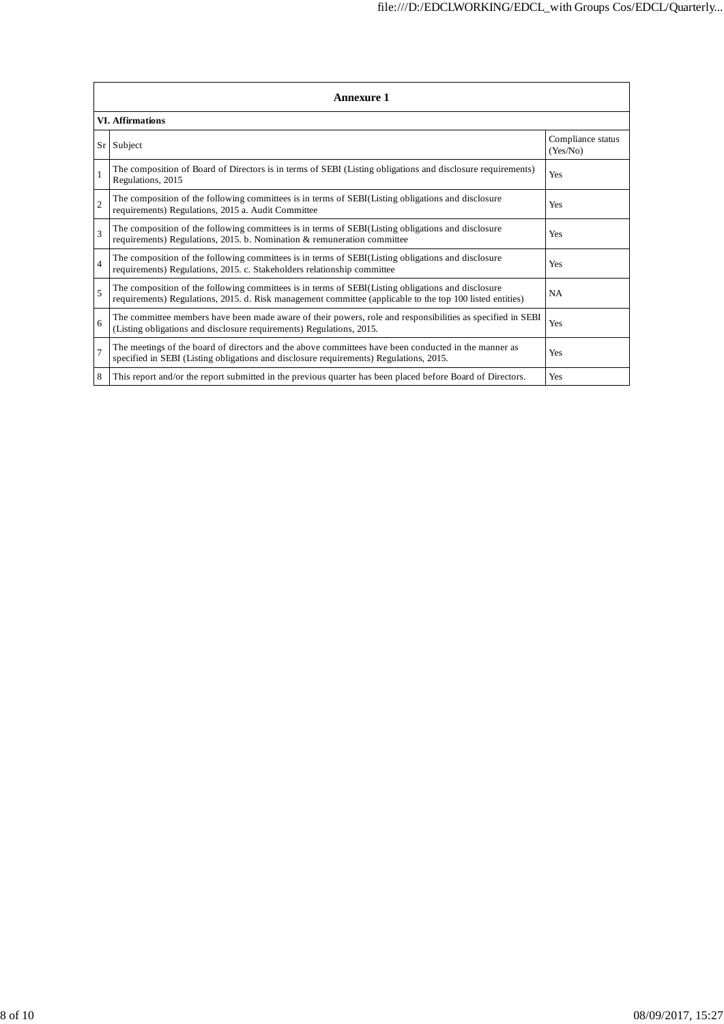| <b>Annexure 1</b>        |                                                                                                                                                                                                                 |                               |  |  |  |  |  |
|--------------------------|-----------------------------------------------------------------------------------------------------------------------------------------------------------------------------------------------------------------|-------------------------------|--|--|--|--|--|
| <b>VI.</b> Affirmations  |                                                                                                                                                                                                                 |                               |  |  |  |  |  |
|                          | Sr Subject                                                                                                                                                                                                      | Compliance status<br>(Yes/No) |  |  |  |  |  |
| $\mathbf{1}$             | The composition of Board of Directors is in terms of SEBI (Listing obligations and disclosure requirements)<br>Regulations, 2015                                                                                | Yes                           |  |  |  |  |  |
| $\overline{2}$           | The composition of the following committees is in terms of SEBI(Listing obligations and disclosure<br>requirements) Regulations, 2015 a. Audit Committee                                                        | Yes                           |  |  |  |  |  |
| $\overline{\mathbf{3}}$  | The composition of the following committees is in terms of SEBI(Listing obligations and disclosure<br>requirements) Regulations, 2015. b. Nomination & remuneration committee                                   | Yes                           |  |  |  |  |  |
| $\overline{4}$           | The composition of the following committees is in terms of SEBI(Listing obligations and disclosure<br>requirements) Regulations, 2015. c. Stakeholders relationship committee                                   | Yes                           |  |  |  |  |  |
| $\overline{\phantom{0}}$ | The composition of the following committees is in terms of SEBI(Listing obligations and disclosure<br>requirements) Regulations, 2015. d. Risk management committee (applicable to the top 100 listed entities) | <b>NA</b>                     |  |  |  |  |  |
| 6                        | The committee members have been made aware of their powers, role and responsibilities as specified in SEBI<br>(Listing obligations and disclosure requirements) Regulations, 2015.                              | Yes                           |  |  |  |  |  |
| $\overline{7}$           | The meetings of the board of directors and the above committees have been conducted in the manner as<br>specified in SEBI (Listing obligations and disclosure requirements) Regulations, 2015.                  | Yes                           |  |  |  |  |  |
| 8                        | This report and/or the report submitted in the previous quarter has been placed before Board of Directors.                                                                                                      | Yes                           |  |  |  |  |  |